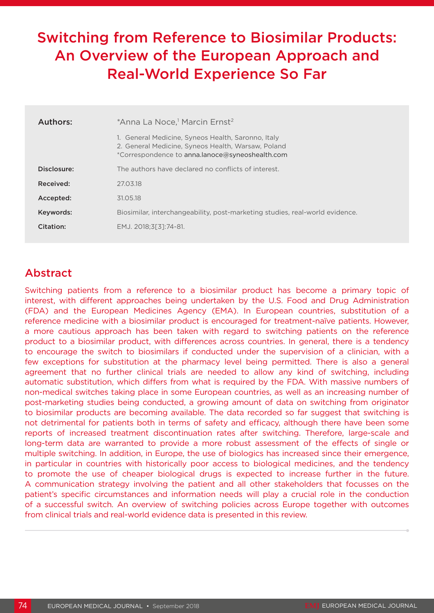# Switching from Reference to Biosimilar Products: An Overview of the European Approach and Real-World Experience So Far

| Authors:    | *Anna La Noce, <sup>1</sup> Marcin Ernst <sup>2</sup>                                                                                                       |
|-------------|-------------------------------------------------------------------------------------------------------------------------------------------------------------|
|             | 1. General Medicine, Syneos Health, Saronno, Italy<br>2. General Medicine, Syneos Health, Warsaw, Poland<br>*Correspondence to anna.lanoce@syneoshealth.com |
| Disclosure: | The authors have declared no conflicts of interest.                                                                                                         |
| Received:   | 27.03.18                                                                                                                                                    |
| Accepted:   | 31.05.18                                                                                                                                                    |
| Keywords:   | Biosimilar, interchangeability, post-marketing studies, real-world evidence.                                                                                |
| Citation:   | EMJ. 2018:3[3]:74-81.                                                                                                                                       |

# Abstract

Switching patients from a reference to a biosimilar product has become a primary topic of interest, with different approaches being undertaken by the U.S. Food and Drug Administration (FDA) and the European Medicines Agency (EMA). In European countries, substitution of a reference medicine with a biosimilar product is encouraged for treatment-naïve patients. However, a more cautious approach has been taken with regard to switching patients on the reference product to a biosimilar product, with differences across countries. In general, there is a tendency to encourage the switch to biosimilars if conducted under the supervision of a clinician, with a few exceptions for substitution at the pharmacy level being permitted. There is also a general agreement that no further clinical trials are needed to allow any kind of switching, including automatic substitution, which differs from what is required by the FDA. With massive numbers of non-medical switches taking place in some European countries, as well as an increasing number of post-marketing studies being conducted, a growing amount of data on switching from originator to biosimilar products are becoming available. The data recorded so far suggest that switching is not detrimental for patients both in terms of safety and efficacy, although there have been some reports of increased treatment discontinuation rates after switching. Therefore, large-scale and long-term data are warranted to provide a more robust assessment of the effects of single or multiple switching. In addition, in Europe, the use of biologics has increased since their emergence, in particular in countries with historically poor access to biological medicines, and the tendency to promote the use of cheaper biological drugs is expected to increase further in the future. A communication strategy involving the patient and all other stakeholders that focusses on the patient's specific circumstances and information needs will play a crucial role in the conduction of a successful switch. An overview of switching policies across Europe together with outcomes from clinical trials and real-world evidence data is presented in this review.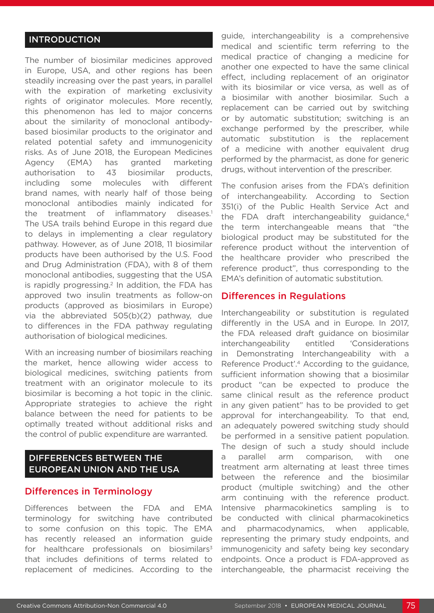#### INTRODUCTION

The number of biosimilar medicines approved in Europe, USA, and other regions has been steadily increasing over the past years, in parallel with the expiration of marketing exclusivity rights of originator molecules. More recently, this phenomenon has led to major concerns about the similarity of monoclonal antibodybased biosimilar products to the originator and related potential safety and immunogenicity risks. As of June 2018, the European Medicines Agency (EMA) has granted marketing authorisation to 43 biosimilar products, including some molecules with different brand names, with nearly half of those being monoclonal antibodies mainly indicated for the treatment of inflammatory diseases.<sup>1</sup> The USA trails behind Europe in this regard due to delays in implementing a clear regulatory pathway. However, as of June 2018, 11 biosimilar products have been authorised by the U.S. Food and Drug Administration (FDA), with 8 of them monoclonal antibodies, suggesting that the USA is rapidly progressing. $2$  In addition, the FDA has approved two insulin treatments as follow-on products (approved as biosimilars in Europe) via the abbreviated 505(b)(2) pathway, due to differences in the FDA pathway regulating authorisation of biological medicines.

With an increasing number of biosimilars reaching the market, hence allowing wider access to biological medicines, switching patients from treatment with an originator molecule to its biosimilar is becoming a hot topic in the clinic. Appropriate strategies to achieve the right balance between the need for patients to be optimally treated without additional risks and the control of public expenditure are warranted.

### DIFFERENCES BETWEEN THE EUROPEAN UNION AND THE USA

#### Differences in Terminology

Differences between the FDA and EMA terminology for switching have contributed to some confusion on this topic. The EMA has recently released an information guide for healthcare professionals on biosimilars $3$ that includes definitions of terms related to replacement of medicines. According to the

guide, interchangeability is a comprehensive medical and scientific term referring to the medical practice of changing a medicine for another one expected to have the same clinical effect, including replacement of an originator with its biosimilar or vice versa, as well as of a biosimilar with another biosimilar. Such a replacement can be carried out by switching or by automatic substitution; switching is an exchange performed by the prescriber, while automatic substitution is the replacement of a medicine with another equivalent drug performed by the pharmacist, as done for generic drugs, without intervention of the prescriber.

The confusion arises from the FDA's definition of interchangeability. According to Section 351(i) of the Public Health Service Act and the FDA draft interchangeability guidance,<sup>4</sup> the term interchangeable means that "the biological product may be substituted for the reference product without the intervention of the healthcare provider who prescribed the reference product", thus corresponding to the EMA's definition of automatic substitution.

#### Differences in Regulations

Interchangeability or substitution is regulated differently in the USA and in Europe. In 2017, the FDA released draft guidance on biosimilar interchangeability entitled 'Considerations in Demonstrating Interchangeability with a Reference Product'.4 According to the guidance, sufficient information showing that a biosimilar product "can be expected to produce the same clinical result as the reference product in any given patient" has to be provided to get approval for interchangeability. To that end, an adequately powered switching study should be performed in a sensitive patient population. The design of such a study should include a parallel arm comparison, with one treatment arm alternating at least three times between the reference and the biosimilar product (multiple switching) and the other arm continuing with the reference product. Intensive pharmacokinetics sampling is to be conducted with clinical pharmacokinetics and pharmacodynamics, when applicable, representing the primary study endpoints, and immunogenicity and safety being key secondary endpoints. Once a product is FDA-approved as interchangeable, the pharmacist receiving the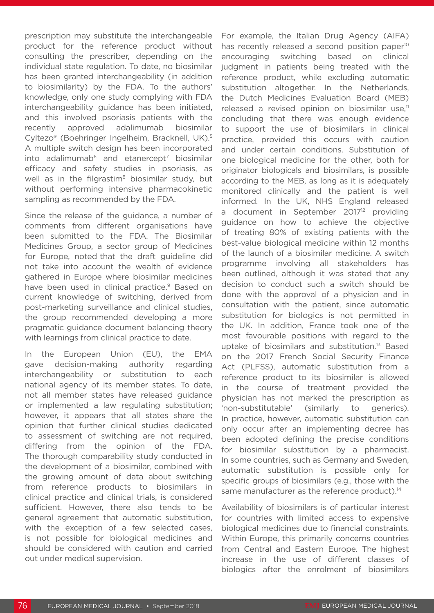prescription may substitute the interchangeable product for the reference product without consulting the prescriber, depending on the individual state regulation. To date, no biosimilar has been granted interchangeability (in addition to biosimilarity) by the FDA. To the authors' knowledge, only one study complying with FDA interchangeability guidance has been initiated, and this involved psoriasis patients with the recently approved adalimumab biosimilar Cyltezo® (Boehringer Ingelheim, Bracknell, UK).5 A multiple switch design has been incorporated  $into$  adalimumab $6$  and etanercept<sup>7</sup> biosimilar efficacy and safety studies in psoriasis, as well as in the filgrastim<sup>8</sup> biosimilar study, but without performing intensive pharmacokinetic sampling as recommended by the FDA.

Since the release of the guidance, a number of comments from different organisations have been submitted to the FDA. The Biosimilar Medicines Group, a sector group of Medicines for Europe, noted that the draft guideline did not take into account the wealth of evidence gathered in Europe where biosimilar medicines have been used in clinical practice.<sup>9</sup> Based on current knowledge of switching, derived from post-marketing surveillance and clinical studies, the group recommended developing a more pragmatic guidance document balancing theory with learnings from clinical practice to date.

In the European Union (EU), the EMA gave decision-making authority regarding interchangeability or substitution to each national agency of its member states. To date, not all member states have released guidance or implemented a law regulating substitution; however, it appears that all states share the opinion that further clinical studies dedicated to assessment of switching are not required, differing from the opinion of the FDA. The thorough comparability study conducted in the development of a biosimilar, combined with the growing amount of data about switching from reference products to biosimilars in clinical practice and clinical trials, is considered sufficient. However, there also tends to be general agreement that automatic substitution, with the exception of a few selected cases, is not possible for biological medicines and should be considered with caution and carried out under medical supervision.

For example, the Italian Drug Agency (AIFA) has recently released a second position paper<sup>10</sup> encouraging switching based on clinical judgment in patients being treated with the reference product, while excluding automatic substitution altogether. In the Netherlands, the Dutch Medicines Evaluation Board (MEB) released a revised opinion on biosimilar use.<sup>11</sup> concluding that there was enough evidence to support the use of biosimilars in clinical practice, provided this occurs with caution and under certain conditions. Substitution of one biological medicine for the other, both for originator biologicals and biosimilars, is possible according to the MEB, as long as it is adequately monitored clinically and the patient is well informed. In the UK, NHS England released a document in September 2017<sup>12</sup> providing guidance on how to achieve the objective of treating 80% of existing patients with the best-value biological medicine within 12 months of the launch of a biosimilar medicine. A switch programme involving all stakeholders has been outlined, although it was stated that any decision to conduct such a switch should be done with the approval of a physician and in consultation with the patient, since automatic substitution for biologics is not permitted in the UK. In addition, France took one of the most favourable positions with regard to the uptake of biosimilars and substitution.13 Based on the 2017 French Social Security Finance Act (PLFSS), automatic substitution from a reference product to its biosimilar is allowed in the course of treatment provided the physician has not marked the prescription as 'non-substitutable' (similarly to generics). In practice, however, automatic substitution can only occur after an implementing decree has been adopted defining the precise conditions for biosimilar substitution by a pharmacist. In some countries, such as Germany and Sweden, automatic substitution is possible only for specific groups of biosimilars (e.g., those with the same manufacturer as the reference product).<sup>14</sup>

Availability of biosimilars is of particular interest for countries with limited access to expensive biological medicines due to financial constraints. Within Europe, this primarily concerns countries from Central and Eastern Europe. The highest increase in the use of different classes of biologics after the enrolment of biosimilars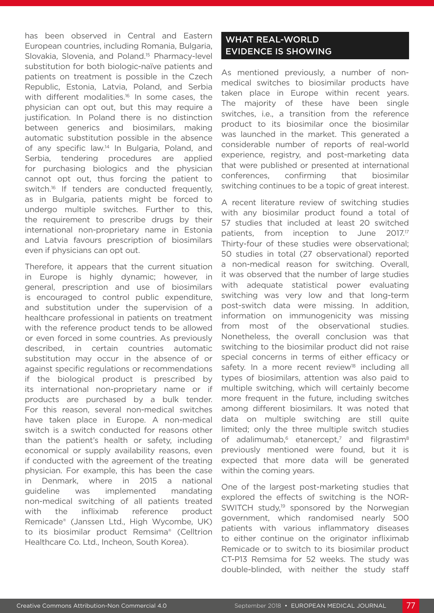has been observed in Central and Eastern European countries, including Romania, Bulgaria, Slovakia, Slovenia, and Poland.<sup>15</sup> Pharmacy-level substitution for both biologic-naïve patients and patients on treatment is possible in the Czech Republic, Estonia, Latvia, Poland, and Serbia with different modalities.<sup>16</sup> In some cases, the physician can opt out, but this may require a justification. In Poland there is no distinction between generics and biosimilars, making automatic substitution possible in the absence of any specific law.14 In Bulgaria, Poland, and Serbia, tendering procedures are applied for purchasing biologics and the physician cannot opt out, thus forcing the patient to switch.<sup>16</sup> If tenders are conducted frequently, as in Bulgaria, patients might be forced to undergo multiple switches. Further to this, the requirement to prescribe drugs by their international non-proprietary name in Estonia and Latvia favours prescription of biosimilars even if physicians can opt out.

Therefore, it appears that the current situation in Europe is highly dynamic; however, in general, prescription and use of biosimilars is encouraged to control public expenditure, and substitution under the supervision of a healthcare professional in patients on treatment with the reference product tends to be allowed or even forced in some countries. As previously described, in certain countries automatic substitution may occur in the absence of or against specific regulations or recommendations if the biological product is prescribed by its international non-proprietary name or if products are purchased by a bulk tender. For this reason, several non-medical switches have taken place in Europe. A non-medical switch is a switch conducted for reasons other than the patient's health or safety, including economical or supply availability reasons, even if conducted with the agreement of the treating physician. For example, this has been the case in Denmark, where in 2015 a national guideline was implemented mandating non-medical switching of all patients treated with the infliximab reference product Remicade® (Janssen Ltd., High Wycombe, UK) to its biosimilar product Remsima® (Celltrion Healthcare Co. Ltd., Incheon, South Korea).

## WHAT REAL-WORLD EVIDENCE IS SHOWING

As mentioned previously, a number of nonmedical switches to biosimilar products have taken place in Europe within recent years. The majority of these have been single switches, i.e., a transition from the reference product to its biosimilar once the biosimilar was launched in the market. This generated a considerable number of reports of real-world experience, registry, and post-marketing data that were published or presented at international conferences, confirming that biosimilar switching continues to be a topic of great interest.

A recent literature review of switching studies with any biosimilar product found a total of 57 studies that included at least 20 switched patients, from inception to June 2017.<sup>17</sup> Thirty-four of these studies were observational; 50 studies in total (27 observational) reported a non-medical reason for switching. Overall, it was observed that the number of large studies with adequate statistical power evaluating switching was very low and that long-term post-switch data were missing. In addition, information on immunogenicity was missing from most of the observational studies. Nonetheless, the overall conclusion was that switching to the biosimilar product did not raise special concerns in terms of either efficacy or safety. In a more recent review<sup>18</sup> including all types of biosimilars, attention was also paid to multiple switching, which will certainly become more frequent in the future, including switches among different biosimilars. It was noted that data on multiple switching are still quite limited; only the three multiple switch studies of adalimumab, $6$  etanercept,<sup>7</sup> and filgrastim<sup>8</sup> previously mentioned were found, but it is expected that more data will be generated within the coming years.

One of the largest post-marketing studies that explored the effects of switching is the NOR-SWITCH study,<sup>19</sup> sponsored by the Norwegian government, which randomised nearly 500 patients with various inflammatory diseases to either continue on the originator infliximab Remicade or to switch to its biosimilar product CT-P13 Remsima for 52 weeks. The study was double-blinded, with neither the study staff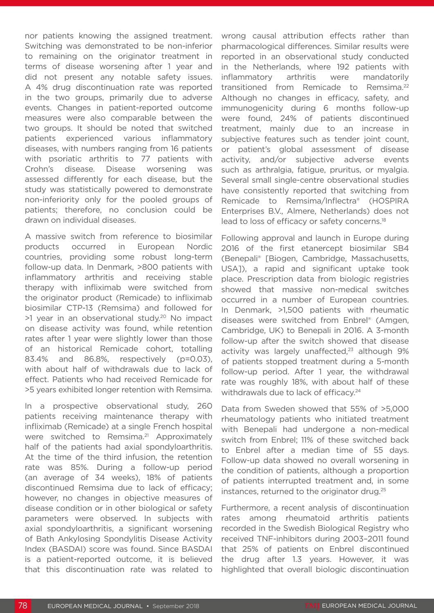nor patients knowing the assigned treatment. Switching was demonstrated to be non-inferior to remaining on the originator treatment in terms of disease worsening after 1 year and did not present any notable safety issues. A 4% drug discontinuation rate was reported in the two groups, primarily due to adverse events. Changes in patient-reported outcome measures were also comparable between the two groups. It should be noted that switched patients experienced various inflammatory diseases, with numbers ranging from 16 patients with psoriatic arthritis to 77 patients with Crohn's disease. Disease worsening was assessed differently for each disease, but the study was statistically powered to demonstrate non-inferiority only for the pooled groups of patients; therefore, no conclusion could be drawn on individual diseases.

A massive switch from reference to biosimilar products occurred in European Nordic countries, providing some robust long-term follow-up data. In Denmark, >800 patients with inflammatory arthritis and receiving stable therapy with infliximab were switched from the originator product (Remicade) to infliximab biosimilar CTP-13 (Remsima) and followed for >1 year in an observational study.20 No impact on disease activity was found, while retention rates after 1 year were slightly lower than those of an historical Remicade cohort, totalling 83.4% and 86.8%, respectively (p=0.03), with about half of withdrawals due to lack of effect. Patients who had received Remicade for >5 years exhibited longer retention with Remsima.

In a prospective observational study, 260 patients receiving maintenance therapy with infliximab (Remicade) at a single French hospital were switched to Remsima.<sup>21</sup> Approximately half of the patients had axial spondyloarthritis. At the time of the third infusion, the retention rate was 85%. During a follow-up period (an average of 34 weeks), 18% of patients discontinued Remsima due to lack of efficacy; however, no changes in objective measures of disease condition or in other biological or safety parameters were observed. In subjects with axial spondyloarthritis, a significant worsening of Bath Ankylosing Spondylitis Disease Activity Index (BASDAI) score was found. Since BASDAI is a patient-reported outcome, it is believed that this discontinuation rate was related to

wrong causal attribution effects rather than pharmacological differences. Similar results were reported in an observational study conducted in the Netherlands, where 192 patients with inflammatory arthritis were mandatorily transitioned from Remicade to Remsima.<sup>22</sup> Although no changes in efficacy, safety, and immunogenicity during 6 months follow-up were found, 24% of patients discontinued treatment, mainly due to an increase in subjective features such as tender joint count, or patient's global assessment of disease activity, and/or subjective adverse events such as arthralgia, fatigue, pruritus, or myalgia. Several small single-centre observational studies have consistently reported that switching from Remicade to Remsima/Inflectra® (HOSPIRA Enterprises B.V., Almere, Netherlands) does not lead to loss of efficacy or safety concerns.<sup>18</sup>

Following approval and launch in Europe during 2016 of the first etanercept biosimilar SB4 (Benepali® [Biogen, Cambridge, Massachusetts, USA]), a rapid and significant uptake took place. Prescription data from biologic registries showed that massive non-medical switches occurred in a number of European countries. In Denmark, >1,500 patients with rheumatic diseases were switched from Enbrel® (Amgen, Cambridge, UK) to Benepali in 2016. A 3-month follow-up after the switch showed that disease activity was largely unaffected,<sup>23</sup> although 9% of patients stopped treatment during a 5-month follow-up period. After 1 year, the withdrawal rate was roughly 18%, with about half of these withdrawals due to lack of efficacy.<sup>24</sup>

Data from Sweden showed that 55% of >5,000 rheumatology patients who initiated treatment with Benepali had undergone a non-medical switch from Enbrel; 11% of these switched back to Enbrel after a median time of 55 days. Follow-up data showed no overall worsening in the condition of patients, although a proportion of patients interrupted treatment and, in some instances, returned to the originator drug.25

Furthermore, a recent analysis of discontinuation rates among rheumatoid arthritis patients recorded in the Swedish Biological Registry who received TNF-inhibitors during 2003–2011 found that 25% of patients on Enbrel discontinued the drug after 1.3 years. However, it was highlighted that overall biologic discontinuation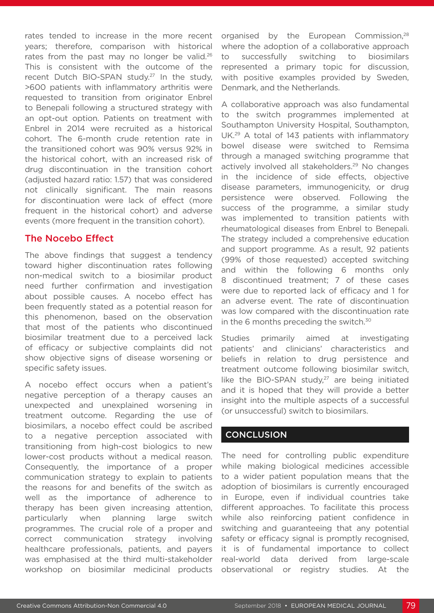rates tended to increase in the more recent years; therefore, comparison with historical rates from the past may no longer be valid.<sup>26</sup> This is consistent with the outcome of the recent Dutch BIO-SPAN study.<sup>27</sup> In the study. >600 patients with inflammatory arthritis were requested to transition from originator Enbrel to Benepali following a structured strategy with an opt-out option. Patients on treatment with Enbrel in 2014 were recruited as a historical cohort. The 6-month crude retention rate in the transitioned cohort was 90% versus 92% in the historical cohort, with an increased risk of drug discontinuation in the transition cohort (adjusted hazard ratio: 1.57) that was considered not clinically significant. The main reasons for discontinuation were lack of effect (more frequent in the historical cohort) and adverse events (more frequent in the transition cohort).

#### The Nocebo Effect

The above findings that suggest a tendency toward higher discontinuation rates following non-medical switch to a biosimilar product need further confirmation and investigation about possible causes. A nocebo effect has been frequently stated as a potential reason for this phenomenon, based on the observation that most of the patients who discontinued biosimilar treatment due to a perceived lack of efficacy or subjective complaints did not show objective signs of disease worsening or specific safety issues.

A nocebo effect occurs when a patient's negative perception of a therapy causes an unexpected and unexplained worsening in treatment outcome. Regarding the use of biosimilars, a nocebo effect could be ascribed to a negative perception associated with transitioning from high-cost biologics to new lower-cost products without a medical reason. Consequently, the importance of a proper communication strategy to explain to patients the reasons for and benefits of the switch as well as the importance of adherence to therapy has been given increasing attention, particularly when planning large switch programmes. The crucial role of a proper and correct communication strategy involving healthcare professionals, patients, and payers was emphasised at the third multi-stakeholder workshop on biosimilar medicinal products

organised by the European Commission,<sup>28</sup> where the adoption of a collaborative approach to successfully switching to biosimilars represented a primary topic for discussion, with positive examples provided by Sweden, Denmark, and the Netherlands.

A collaborative approach was also fundamental to the switch programmes implemented at Southampton University Hospital, Southampton, UK.29 A total of 143 patients with inflammatory bowel disease were switched to Remsima through a managed switching programme that actively involved all stakeholders.<sup>29</sup> No changes in the incidence of side effects, objective disease parameters, immunogenicity, or drug persistence were observed. Following the success of the programme, a similar study was implemented to transition patients with rheumatological diseases from Enbrel to Benepali. The strategy included a comprehensive education and support programme. As a result, 92 patients (99% of those requested) accepted switching and within the following 6 months only 8 discontinued treatment; 7 of these cases were due to reported lack of efficacy and 1 for an adverse event. The rate of discontinuation was low compared with the discontinuation rate in the 6 months preceding the switch.<sup>30</sup>

Studies primarily aimed at investigating patients' and clinicians' characteristics and beliefs in relation to drug persistence and treatment outcome following biosimilar switch, like the BIO-SPAN study, $27$  are being initiated and it is hoped that they will provide a better insight into the multiple aspects of a successful (or unsuccessful) switch to biosimilars.

#### **CONCLUSION**

The need for controlling public expenditure while making biological medicines accessible to a wider patient population means that the adoption of biosimilars is currently encouraged in Europe, even if individual countries take different approaches. To facilitate this process while also reinforcing patient confidence in switching and guaranteeing that any potential safety or efficacy signal is promptly recognised, it is of fundamental importance to collect real-world data derived from large-scale observational or registry studies. At the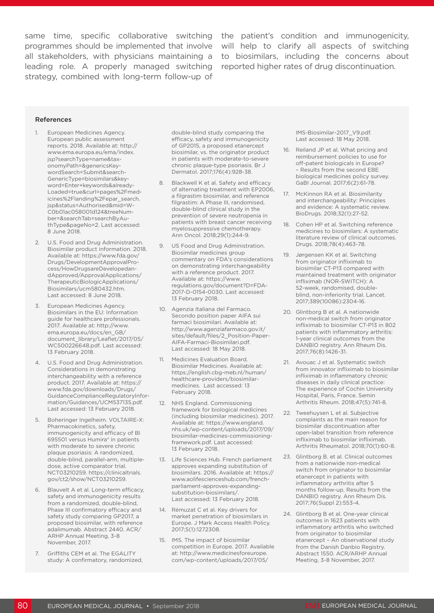same time, specific collaborative switching the patient's condition and immunogenicity, programmes should be implemented that involve will help to clarify all aspects of switching all stakeholders, with physicians maintaining a to biosimilars, including the concerns about leading role. A properly managed switching strategy, combined with long-term follow-up of

reported higher rates of drug discontinuation.

#### **References**

- 1. European Medicines Agency. European public assessment reports. 2018. Available at: http:// www.ema.europa.eu/ema/index. jsp?searchType=name&taxonomyPath=&genericsKeywordSearch=Submit&search-GenericType=biosimilars&keyword=Enter+keywords&already-Loaded=true&curl=pages%2Fmedicines%2Flanding%2Fepar\_search. jsp&status=Authorised&mid=W-C0b01ac058001d124&treeNumber=&searchTab=searchByAuthType&pageNo=2. Last accessed: 8 June 2018.
- 2. U.S. Food and Drug Administration. Biosimilar product information. 2018. Available at: https://www.fda.gov/ Drugs/DevelopmentApprovalProcess/HowDrugsareDevelopedandApproved/ApprovalApplications/ TherapeuticBiologicApplications/ Biosimilars/ucm580432.htm. Last accessed: 8 June 2018.
- 3. European Medicines Agency. Biosimilars in the EU: Information guide for healthcare professionals. 2017. Available at: http://www. ema.europa.eu/docs/en\_GB/ document\_library/Leaflet/2017/05/ WC500226648.pdf. Last accessed: 13 February 2018.
- 4. U.S. Food and Drug Administration. Considerations in demonstrating interchangeability with a reference product. 2017. Available at: https:// www.fda.gov/downloads/Drugs/ GuidanceComplianceRegulatoryInformation/Guidances/UCM537135.pdf. Last accessed: 13 February 2018.
- 5. Boheringer Ingelheim. VOLTAIRE-X: Pharmacokinetics, safety, immunogenicity and efficacy of BI 695501 versus Humira® in patients with moderate to severe chronic plaque psoriasis: A randomized, double-blind, parallel-arm, multipledose, active comparator trial. NCT03210259. https://clinicaltrials. gov/ct2/show/NCT03210259.
- 6. Blauvelt A et al. Long-term efficacy, safety and immunogenicity results from a randomized, double-blind, Phase III confirmatory efficacy and safety study comparing GP2017, a proposed biosimilar, with reference adalimumab. Abstract 2440. ACR/ ARHP Annual Meeting, 3-8 November, 2017.
- 7. Griffiths CEM et al. The EGALITY study: A confirmatory, randomized,

double-blind study comparing the efficacy, safety and immunogenicity of GP2015, a proposed etanercept biosimilar, vs. the originator product in patients with moderate-to-severe chronic plaque-type psoriasis. Br J Dermatol. 2017;176(4):928-38.

- 8. Blackwell K et al. Safety and efficacy of alternating treatment with EP2006, a filgrastim biosimilar, and reference filgrastim: A Phase III, randomised, double-blind clinical study in the prevention of severe neutropenia in patients with breast cancer receiving myelosuppressive chemotherapy. Ann Oncol. 2018;29(1):244-9.
- 9. US Food and Drug Administration. Biosimilar medicines group commentary on FDA's considerations on demonstrating interchangeability with a reference product. 2017. Available at: https://www. regulations.gov/document?D=FDA-2017-D-0154-0030. Last accessed: 13 February 2018.
- 10. Agenzia Italiana del Farmaco. Secondo position paper AIFA sui farmaci biosimilari. Available at: http://www.agenziafarmaco.gov.it/ sites/default/files/2\_Position-Paper-AIFA-Farmaci-Biosimilari.pdf. Last accessed: 18 May 2018.
- Medicines Evaluation Board. Biosimilar Medicines. Available at: https://english.cbg-meb.nl/human/ healthcare-providers/biosimilarmedicines. Last accessed: 13 February 2018.
- 12. NHS England. Commissioning framework for biological medicines (including biosimilar medicines). 2017. Available at: https://www.england. nhs.uk/wp-content/uploads/2017/09/ biosimilar-medicines-commissioningframework.pdf. Last accessed: 13 February 2018.
- 13. Life Sciences Hub. French parliament approves expanding substitution of biosimilars. 2016. Available at: https:// www.aolifescienceshub.com/frenchparliament-approves-expandingsubstitution-biosimilars/. Last accessed: 13 February 2018.
- 14. Rémuzat C et al. Key drivers for market penetration of biosimilars in Europe. J Mark Access Health Policy. 2017;5(1):1272308.
- 15. IMS. The impact of biosimilar competition in Europe. 2017. Available at: http://www.medicinesforeurope. com/wp-content/uploads/2017/05/

IMS-Biosimilar-2017\_V9.pdf. Last accessed: 18 May 2018.

- 16. Reiland JP et al. What pricing and reimbursement policies to use for off-patent biologicals in Europe? – Results from the second EBE biological medicines policy survey. GaBI Journal. 2017;6(2):61-78.
- 17. McKinnon RA et al. Biosimilarity and interchangeability: Principles and evidence: A systematic review. BioDrugs. 2018;32(1):27-52.
- 18. Cohen HP et al. Switching reference medicines to biosimilars: A systematic literature review of clinical outcomes. Drugs. 2018;78(4):463-78.
- Jørgensen KK et al. Switching from originator infliximab to biosimilar CT-P13 compared with maintained treatment with originator infliximab (NOR-SWITCH): A 52-week, randomised, doubleblind, non-inferiority trial. Lancet. 2017;389(10086):2304-16.
- 20. Glintborg B et al. A nationwide non-medical switch from originator infliximab to biosimilar CT-P13 in 802 patients with inflammatory arthritis: 1-year clinical outcomes from the DANBIO registry. Ann Rheum Dis. 2017;76(8):1426-31.
- 21. Avouac J et al. Systematic switch from innovator infliximab to biosimilar infliximab in inflammatory chronic diseases in daily clinical practice: The experience of Cochin University Hospital, Paris, France. Semin Arthritis Rheum. 2018;47(5):741-8.
- 22. Tweehuysen L et al. Subjective complaints as the main reason for biosimilar discontinuation after open-label transition from reference infliximab to biosimilar infliximab. Arthritis Rheumatol. 2018;70(1):60-8.
- 23. Glintborg B. et al. Clinical outcomes from a nationwide non-medical switch from originator to biosimilar etanercept in patients with inflammatory arthritis after 5 months follow-up. Results from the DANBIO registry. Ann Rheum Dis. 2017;76(Suppl 2):553-4.
- 24. Glintborg B et al. One-year clinical outcomes in 1623 patients with inflammatory arthritis who switched from originator to biosimilar etanercept – An observational study from the Danish Danbio Registry. Abstract 1550. ACR/ARHP Annual Meeting, 3-8 November, 2017.